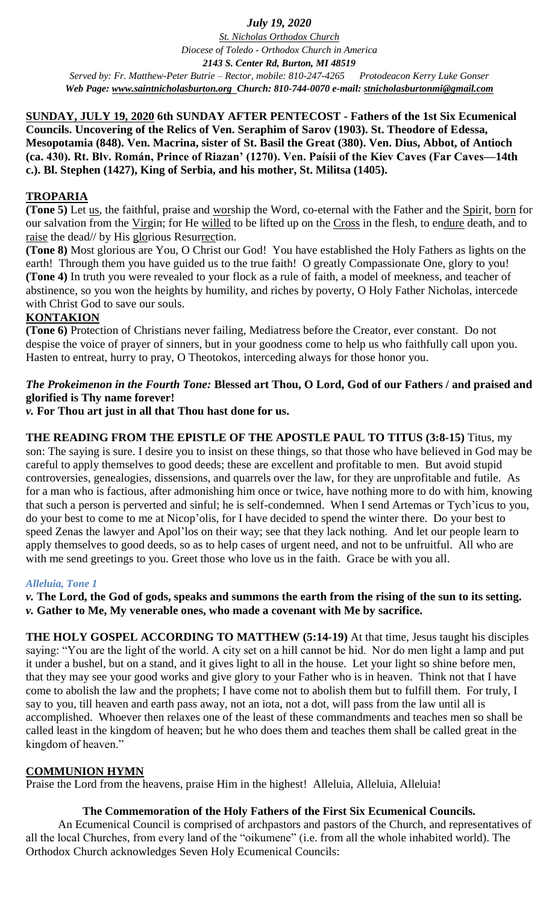## *July 19, 2020*

*St. Nicholas Orthodox Church Diocese of Toledo - Orthodox Church in America 2143 S. Center Rd, Burton, MI 48519 Served by: Fr. Matthew-Peter Butrie – Rector, mobile: 810-247-4265 Protodeacon Kerry Luke Gonser Web Page: [www.saintnicholasburton.org](http://www.saintnicholasburton.org/) Church: 810-744-0070 e-mail: [stnicholasburtonmi@gmail.com](mailto:stnicholasburtonmi@gmail.com)*

**SUNDAY, JULY 19, 2020 6th SUNDAY AFTER PENTECOST - Fathers of the 1st Six Ecumenical Councils. Uncovering of the Relics of Ven. Seraphim of Sarov (1903). St. Theodore of Edessa, Mesopotamia (848). Ven. Macrina, sister of St. Basil the Great (380). Ven. Dius, Abbot, of Antioch (ca. 430). Rt. Blv. Román, Prince of Riazan' (1270). Ven. Paísii of the Kiev Caves (Far Caves—14th c.). Bl. Stephen (1427), King of Serbia, and his mother, St. Militsa (1405).**

## **TROPARIA**

(Tone 5) Let us, the faithful, praise and worship the Word, co-eternal with the Father and the Spirit, born for our salvation from the Virgin; for He willed to be lifted up on the Cross in the flesh, to endure death, and to raise the dead// by His glorious Resurrection.

**(Tone 8)** Most glorious are You, O Christ our God! You have established the Holy Fathers as lights on the earth! Through them you have guided us to the true faith! O greatly Compassionate One, glory to you! **(Tone 4)** In truth you were revealed to your flock as a rule of faith, a model of meekness, and teacher of abstinence, so you won the heights by humility, and riches by poverty, O Holy Father Nicholas, intercede with Christ God to save our souls.

### **KONTAKION**

**(Tone 6)** Protection of Christians never failing, Mediatress before the Creator, ever constant. Do not despise the voice of prayer of sinners, but in your goodness come to help us who faithfully call upon you. Hasten to entreat, hurry to pray, O Theotokos, interceding always for those honor you.

# *The Prokeimenon in the Fourth Tone:* **Blessed art Thou, O Lord, God of our Fathers / and praised and glorified is Thy name forever!**

*v.* **For Thou art just in all that Thou hast done for us.**

**THE READING FROM THE EPISTLE OF THE APOSTLE PAUL TO TITUS (3:8-15)** Titus, my son: The saying is sure. I desire you to insist on these things, so that those who have believed in God may be careful to apply themselves to good deeds; these are excellent and profitable to men. But avoid stupid controversies, genealogies, dissensions, and quarrels over the law, for they are unprofitable and futile. As for a man who is factious, after admonishing him once or twice, have nothing more to do with him, knowing that such a person is perverted and sinful; he is self-condemned. When I send Artemas or Tych'icus to you, do your best to come to me at Nicop'olis, for I have decided to spend the winter there. Do your best to speed Zenas the lawyer and Apol'los on their way; see that they lack nothing. And let our people learn to apply themselves to good deeds, so as to help cases of urgent need, and not to be unfruitful. All who are with me send greetings to you. Greet those who love us in the faith. Grace be with you all.

### *Alleluia, Tone 1*

*v.* **The Lord, the God of gods, speaks and summons the earth from the rising of the sun to its setting.** *v.* **Gather to Me, My venerable ones, who made a covenant with Me by sacrifice.**

**THE HOLY GOSPEL ACCORDING TO MATTHEW (5:14-19)** At that time, Jesus taught his disciples saying: "You are the light of the world. A city set on a hill cannot be hid. Nor do men light a lamp and put it under a bushel, but on a stand, and it gives light to all in the house. Let your light so shine before men, that they may see your good works and give glory to your Father who is in heaven. Think not that I have come to abolish the law and the prophets; I have come not to abolish them but to fulfill them. For truly, I say to you, till heaven and earth pass away, not an iota, not a dot, will pass from the law until all is accomplished. Whoever then relaxes one of the least of these commandments and teaches men so shall be called least in the kingdom of heaven; but he who does them and teaches them shall be called great in the kingdom of heaven."

## **COMMUNION HYMN**

Praise the Lord from the heavens, praise Him in the highest! Alleluia, Alleluia, Alleluia!

## **The Commemoration of the Holy Fathers of the First Six Ecumenical Councils.**

An Ecumenical Council is comprised of archpastors and pastors of the Church, and representatives of all the local Churches, from every land of the "oikumene" (i.e. from all the whole inhabited world). The Orthodox Church acknowledges Seven Holy Ecumenical Councils: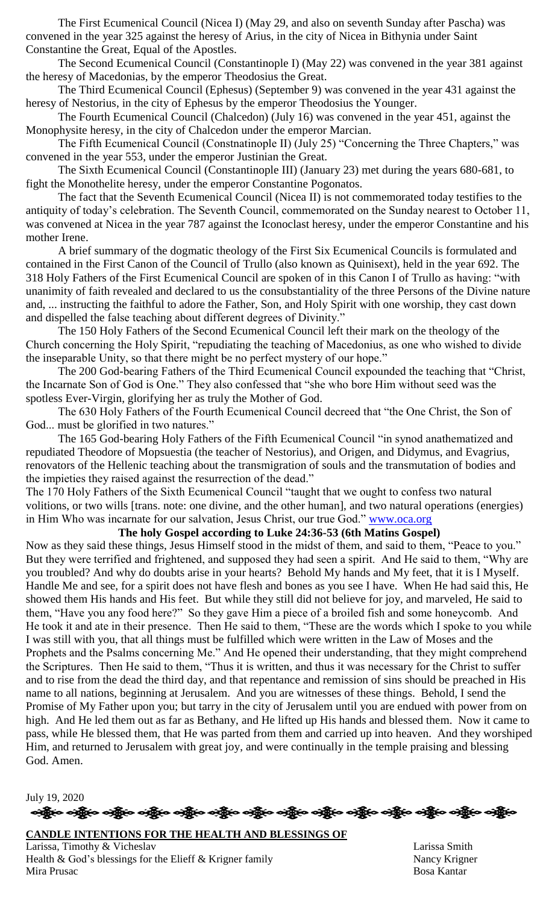The First Ecumenical Council (Nicea I) (May 29, and also on seventh Sunday after Pascha) was convened in the year 325 against the heresy of Arius, in the city of Nicea in Bithynia under Saint Constantine the Great, Equal of the Apostles.

The Second Ecumenical Council (Constantinople I) (May 22) was convened in the year 381 against the heresy of Macedonias, by the emperor Theodosius the Great.

The Third Ecumenical Council (Ephesus) (September 9) was convened in the year 431 against the heresy of Nestorius, in the city of Ephesus by the emperor Theodosius the Younger.

The Fourth Ecumenical Council (Chalcedon) (July 16) was convened in the year 451, against the Monophysite heresy, in the city of Chalcedon under the emperor Marcian.

The Fifth Ecumenical Council (Constnatinople II) (July 25) "Concerning the Three Chapters," was convened in the year 553, under the emperor Justinian the Great.

The Sixth Ecumenical Council (Constantinople III) (January 23) met during the years 680-681, to fight the Monothelite heresy, under the emperor Constantine Pogonatos.

The fact that the Seventh Ecumenical Council (Nicea II) is not commemorated today testifies to the antiquity of today's celebration. The Seventh Council, commemorated on the Sunday nearest to October 11, was convened at Nicea in the year 787 against the Iconoclast heresy, under the emperor Constantine and his mother Irene.

A brief summary of the dogmatic theology of the First Six Ecumenical Councils is formulated and contained in the First Canon of the Council of Trullo (also known as Quinisext), held in the year 692. The 318 Holy Fathers of the First Ecumenical Council are spoken of in this Canon I of Trullo as having: "with unanimity of faith revealed and declared to us the consubstantiality of the three Persons of the Divine nature and, ... instructing the faithful to adore the Father, Son, and Holy Spirit with one worship, they cast down and dispelled the false teaching about different degrees of Divinity."

The 150 Holy Fathers of the Second Ecumenical Council left their mark on the theology of the Church concerning the Holy Spirit, "repudiating the teaching of Macedonius, as one who wished to divide the inseparable Unity, so that there might be no perfect mystery of our hope."

The 200 God-bearing Fathers of the Third Ecumenical Council expounded the teaching that "Christ, the Incarnate Son of God is One." They also confessed that "she who bore Him without seed was the spotless Ever-Virgin, glorifying her as truly the Mother of God.

The 630 Holy Fathers of the Fourth Ecumenical Council decreed that "the One Christ, the Son of God... must be glorified in two natures."

The 165 God-bearing Holy Fathers of the Fifth Ecumenical Council "in synod anathematized and repudiated Theodore of Mopsuestia (the teacher of Nestorius), and Origen, and Didymus, and Evagrius, renovators of the Hellenic teaching about the transmigration of souls and the transmutation of bodies and the impieties they raised against the resurrection of the dead."

The 170 Holy Fathers of the Sixth Ecumenical Council "taught that we ought to confess two natural volitions, or two wills [trans. note: one divine, and the other human], and two natural operations (energies) in Him Who was incarnate for our salvation, Jesus Christ, our true God." [www.oca.org](http://www.oca.org/)

#### **The holy Gospel according to Luke 24:36-53 (6th Matins Gospel)**

Now as they said these things, Jesus Himself stood in the midst of them, and said to them, "Peace to you." But they were terrified and frightened, and supposed they had seen a spirit. And He said to them, "Why are you troubled? And why do doubts arise in your hearts? Behold My hands and My feet, that it is I Myself. Handle Me and see, for a spirit does not have flesh and bones as you see I have. When He had said this, He showed them His hands and His feet. But while they still did not believe for joy, and marveled, He said to them, "Have you any food here?" So they gave Him a piece of a broiled fish and some honeycomb. And He took it and ate in their presence. Then He said to them, "These are the words which I spoke to you while I was still with you, that all things must be fulfilled which were written in the Law of Moses and the Prophets and the Psalms concerning Me." And He opened their understanding, that they might comprehend the Scriptures. Then He said to them, "Thus it is written, and thus it was necessary for the Christ to suffer and to rise from the dead the third day, and that repentance and remission of sins should be preached in His name to all nations, beginning at Jerusalem. And you are witnesses of these things. Behold, I send the Promise of My Father upon you; but tarry in the city of Jerusalem until you are endued with power from on high. And He led them out as far as Bethany, and He lifted up His hands and blessed them. Now it came to pass, while He blessed them, that He was parted from them and carried up into heaven. And they worshiped Him, and returned to Jerusalem with great joy, and were continually in the temple praising and blessing God. Amen.

July 19, 2020 န္ကြိုးေခါ့္ကိုေခါ့္အိုေခါ့္ကိုေခါ့္ကိုေခါ့္ကိုေခါ့္ကိုေခါ့္ကိုေခါ့္ကိုေခါ့္ကိုေခါ့္ကိုေခါ့္ကိုေခါ့္ကိုေ

**CANDLE INTENTIONS FOR THE HEALTH AND BLESSINGS OF**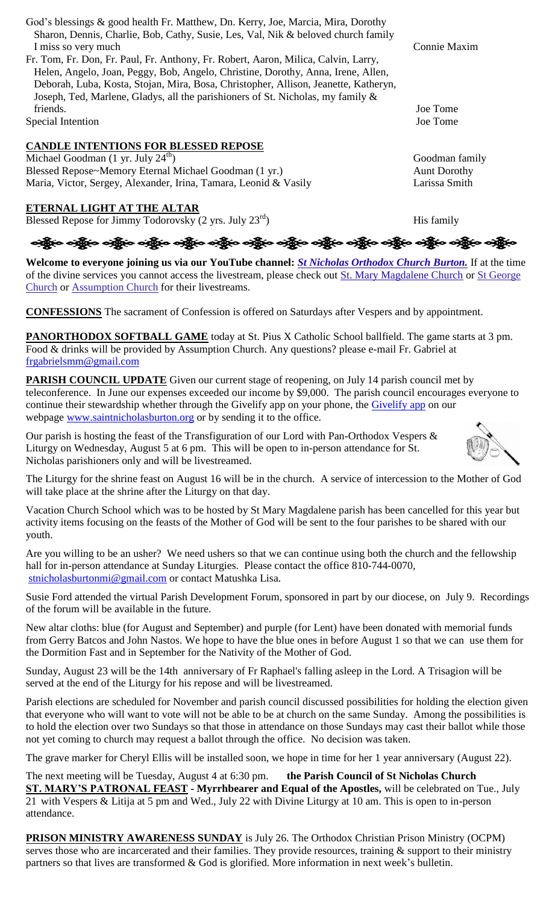| God's blessings & good health Fr. Matthew, Dn. Kerry, Joe, Marcia, Mira, Dorothy                  |                     |
|---------------------------------------------------------------------------------------------------|---------------------|
| Sharon, Dennis, Charlie, Bob, Cathy, Susie, Les, Val, Nik & beloved church family                 |                     |
| I miss so very much                                                                               | Connie Maxim        |
| Fr. Tom, Fr. Don, Fr. Paul, Fr. Anthony, Fr. Robert, Aaron, Milica, Calvin, Larry,                |                     |
| Helen, Angelo, Joan, Peggy, Bob, Angelo, Christine, Dorothy, Anna, Irene, Allen,                  |                     |
| Deborah, Luba, Kosta, Stojan, Mira, Bosa, Christopher, Allison, Jeanette, Katheryn,               |                     |
| Joseph, Ted, Marlene, Gladys, all the parishioners of St. Nicholas, my family &                   |                     |
| friends.                                                                                          | Joe Tome            |
| Special Intention                                                                                 | Joe Tome            |
| <b>CANDLE INTENTIONS FOR BLESSED REPOSE</b>                                                       |                     |
| Michael Goodman $(1 \text{ yr. July } 24^{\text{th}})$                                            | Goodman family      |
| Blessed Repose~Memory Eternal Michael Goodman (1 yr.)                                             | <b>Aunt Dorothy</b> |
| Maria, Victor, Sergey, Alexander, Irina, Tamara, Leonid & Vasily                                  | Larissa Smith       |
| ETERNAL LIGHT AT THE ALTAR                                                                        |                     |
| Blessed Repose for Jimmy Todorovsky (2 yrs. July $23^{rd}$ )                                      | His family          |
| ်ဆိုပြီး တွေ့ရှိန်လ ဝမ်းမြီးလ တွေ့ရှိခြင်း ဝမ်းမြီးလ ဝမ်းမြီးလ ဝမ်းမြီးလ ဝမ်းမြီးလ ဝမ်းမြီးလ ဝမ်း |                     |

**Welcome to everyone joining us via our YouTube channel:** *[St Nicholas Orthodox Church Burton.](https://www.youtube.com/channel/UC59tV-Re443z-GCoETAUvfA)* If at the time of the divine services you cannot access the livestream, please check out [St. Mary Magdalene Church](https://www.youtube.com/channel/UClHAqZrWkXdYELujbbIslHg) or [St George](https://www.youtube.com/channel/UCpLWfxMIJK4uQOV41ekE6Wg/videos?view=2&flow=grid)  [Church](https://www.youtube.com/channel/UCpLWfxMIJK4uQOV41ekE6Wg/videos?view=2&flow=grid) or [Assumption Church](https://www.facebook.com/AssumptionGrandBlanc/) for their livestreams.

**CONFESSIONS** The sacrament of Confession is offered on Saturdays after Vespers and by appointment.

**PANORTHODOX SOFTBALL GAME** today at St. Pius X Catholic School ballfield. The game starts at 3 pm. Food & drinks will be provided by Assumption Church. Any questions? please e-mail Fr. Gabriel at [frgabrielsmm@gmail.com](mailto:frgabrielsmm@gmail.com)

**PARISH COUNCIL UPDATE** Given our current stage of reopening, on July 14 parish council met by teleconference. In June our expenses exceeded our income by \$9,000. The parish council encourages everyone to continue their stewardship whether through the [Givelify app](https://www.givelify.com/givenow/1.0/Mzc5MTg=/selection) on your phone, the Givelify app on our webpage [www.saintnicholasburton.org](http://www.saintnicholasburton.org/) or by sending it to the office.

Our parish is hosting the feast of the Transfiguration of our Lord with Pan-Orthodox Vespers & Liturgy on Wednesday, August 5 at 6 pm. This will be open to in-person attendance for St. Nicholas parishioners only and will be livestreamed.

The Liturgy for the shrine feast on August 16 will be in the church. A service of intercession to the Mother of God will take place at the shrine after the Liturgy on that day.

Vacation Church School which was to be hosted by St Mary Magdalene parish has been cancelled for this year but activity items focusing on the feasts of the Mother of God will be sent to the four parishes to be shared with our youth.

Are you willing to be an usher? We need ushers so that we can continue using both the church and the fellowship hall for in-person attendance at Sunday Liturgies. Please contact the office 810-744-0070, [stnicholasburtonmi@gmail.com](mailto:stnicholasburtonmi@gmail.com) or contact Matushka Lisa.

Susie Ford attended the virtual Parish Development Forum, sponsored in part by our diocese, on July 9. Recordings of the forum will be available in the future.

New altar cloths: blue (for August and September) and purple (for Lent) have been donated with memorial funds from Gerry Batcos and John Nastos. We hope to have the blue ones in before August 1 so that we can use them for the Dormition Fast and in September for the Nativity of the Mother of God.

Sunday, August 23 will be the 14th anniversary of Fr Raphael's falling asleep in the Lord. A Trisagion will be served at the end of the Liturgy for his repose and will be livestreamed.

Parish elections are scheduled for November and parish council discussed possibilities for holding the election given that everyone who will want to vote will not be able to be at church on the same Sunday. Among the possibilities is to hold the election over two Sundays so that those in attendance on those Sundays may cast their ballot while those not yet coming to church may request a ballot through the office. No decision was taken.

The grave marker for Cheryl Ellis will be installed soon, we hope in time for her 1 year anniversary (August 22).

The next meeting will be Tuesday, August 4 at 6:30 pm. **the Parish Council of St Nicholas Church ST. MARY'S PATRONAL FEAST - Myrrhbearer and Equal of the Apostles,** will be celebrated on Tue., July 21 with Vespers & Litija at 5 pm and Wed., July 22 with Divine Liturgy at 10 am. This is open to in-person attendance.

**PRISON MINISTRY AWARENESS SUNDAY** is July 26. The Orthodox Christian Prison Ministry (OCPM) serves those who are incarcerated and their families. They provide resources, training & support to their ministry partners so that lives are transformed & God is glorified. More information in next week's bulletin.